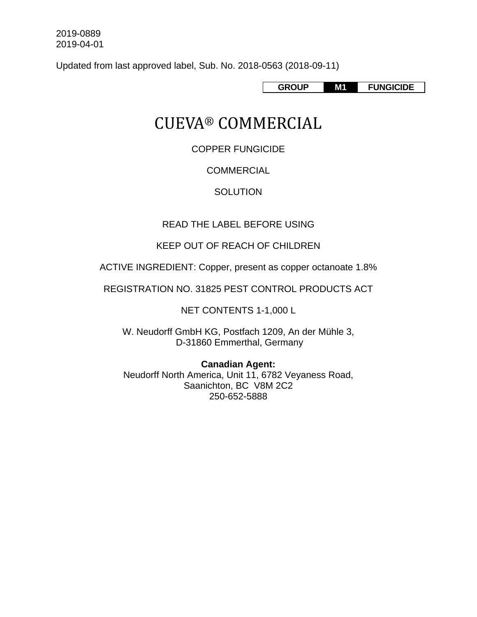Updated from last approved label, Sub. No. 2018-0563 (2018-09-11)

**GROUP M1 FUNGICIDE** 

# CUEVA® COMMERCIAL

COPPER FUNGICIDE

# **COMMERCIAL**

# **SOLUTION**

# READ THE LABEL BEFORE USING

# KEEP OUT OF REACH OF CHILDREN

ACTIVE INGREDIENT: Copper, present as copper octanoate 1.8%

REGISTRATION NO. 31825 PEST CONTROL PRODUCTS ACT

NET CONTENTS 1-1,000 L

W. Neudorff GmbH KG, Postfach 1209, An der Mühle 3, D-31860 Emmerthal, Germany

**Canadian Agent:**  Neudorff North America, Unit 11, 6782 Veyaness Road, Saanichton, BC V8M 2C2 250-652-5888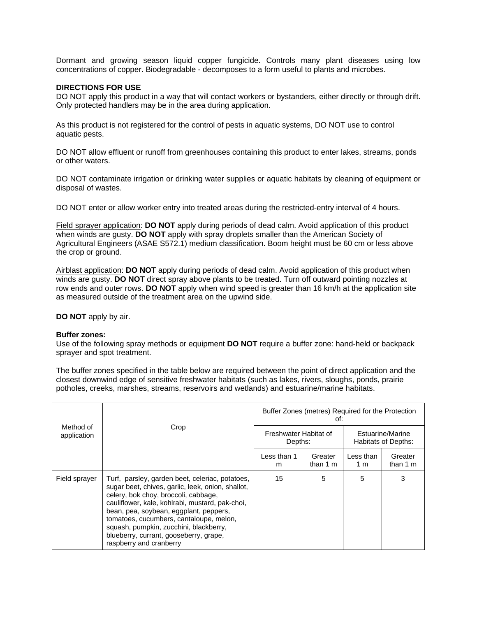Dormant and growing season liquid copper fungicide. Controls many plant diseases using low concentrations of copper. Biodegradable - decomposes to a form useful to plants and microbes.

# **DIRECTIONS FOR USE**

DO NOT apply this product in a way that will contact workers or bystanders, either directly or through drift. Only protected handlers may be in the area during application.

As this product is not registered for the control of pests in aquatic systems, DO NOT use to control aquatic pests.

DO NOT allow effluent or runoff from greenhouses containing this product to enter lakes, streams, ponds or other waters.

DO NOT contaminate irrigation or drinking water supplies or aquatic habitats by cleaning of equipment or disposal of wastes.

DO NOT enter or allow worker entry into treated areas during the restricted-entry interval of 4 hours.

Field sprayer application: **DO NOT** apply during periods of dead calm. Avoid application of this product when winds are gusty. **DO NOT** apply with spray droplets smaller than the American Society of Agricultural Engineers (ASAE S572.1) medium classification. Boom height must be 60 cm or less above the crop or ground.

Airblast application: **DO NOT** apply during periods of dead calm. Avoid application of this product when winds are gusty. **DO NOT** direct spray above plants to be treated. Turn off outward pointing nozzles at row ends and outer rows. **DO NOT** apply when wind speed is greater than 16 km/h at the application site as measured outside of the treatment area on the upwind side.

**DO NOT** apply by air.

### **Buffer zones:**

Use of the following spray methods or equipment **DO NOT** require a buffer zone: hand-held or backpack sprayer and spot treatment.

The buffer zones specified in the table below are required between the point of direct application and the closest downwind edge of sensitive freshwater habitats (such as lakes, rivers, sloughs, ponds, prairie potholes, creeks, marshes, streams, reservoirs and wetlands) and estuarine/marine habitats.

|                          | Crop                                                                                                                                                                                                                                                                                                                                                                                                | Buffer Zones (metres) Required for the Protection<br>of: |                               |                                         |                      |
|--------------------------|-----------------------------------------------------------------------------------------------------------------------------------------------------------------------------------------------------------------------------------------------------------------------------------------------------------------------------------------------------------------------------------------------------|----------------------------------------------------------|-------------------------------|-----------------------------------------|----------------------|
| Method of<br>application |                                                                                                                                                                                                                                                                                                                                                                                                     | Freshwater Habitat of<br>Depths:                         |                               | Estuarine/Marine<br>Habitats of Depths: |                      |
|                          |                                                                                                                                                                                                                                                                                                                                                                                                     | Less than 1<br>m                                         | Greater<br>than $1 \text{ m}$ | Less than<br>1 m                        | Greater<br>than $1m$ |
| Field sprayer            | Turf, parsley, garden beet, celeriac, potatoes,<br>sugar beet, chives, garlic, leek, onion, shallot,<br>celery, bok choy, broccoli, cabbage,<br>cauliflower, kale, kohlrabi, mustard, pak-choi,<br>bean, pea, soybean, eggplant, peppers,<br>tomatoes, cucumbers, cantaloupe, melon,<br>squash, pumpkin, zucchini, blackberry,<br>blueberry, currant, gooseberry, grape,<br>raspberry and cranberry | 15                                                       | 5                             | 5                                       | 3                    |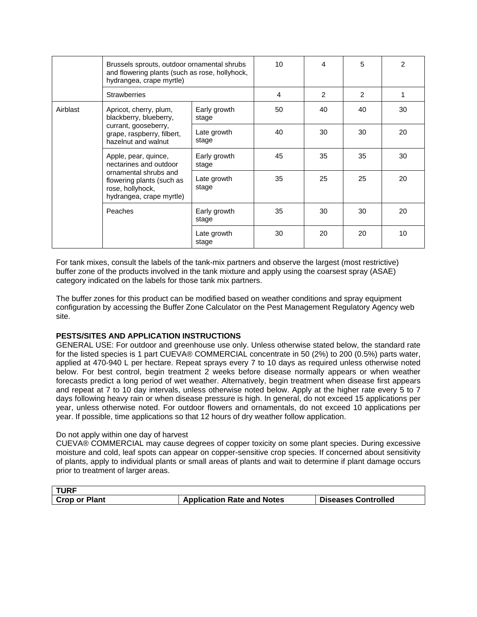|          | Brussels sprouts, outdoor ornamental shrubs<br>and flowering plants (such as rose, hollyhock,<br>hydrangea, crape myrtle)                            |                       | 10 | 4  | 5              | 2  |
|----------|------------------------------------------------------------------------------------------------------------------------------------------------------|-----------------------|----|----|----------------|----|
|          | <b>Strawberries</b>                                                                                                                                  |                       | 4  | 2  | $\overline{2}$ | 1  |
| Airblast | Apricot, cherry, plum,<br>blackberry, blueberry,<br>currant, gooseberry,<br>grape, raspberry, filbert,<br>hazelnut and walnut                        | Early growth<br>stage | 50 | 40 | 40             | 30 |
|          |                                                                                                                                                      | Late growth<br>stage  | 40 | 30 | 30             | 20 |
|          | Apple, pear, quince,<br>nectarines and outdoor<br>ornamental shrubs and<br>flowering plants (such as<br>rose, hollyhock,<br>hydrangea, crape myrtle) | Early growth<br>stage | 45 | 35 | 35             | 30 |
|          |                                                                                                                                                      | Late growth<br>stage  | 35 | 25 | 25             | 20 |
|          | Peaches                                                                                                                                              | Early growth<br>stage | 35 | 30 | 30             | 20 |
|          |                                                                                                                                                      | Late growth<br>stage  | 30 | 20 | 20             | 10 |

For tank mixes, consult the labels of the tank-mix partners and observe the largest (most restrictive) buffer zone of the products involved in the tank mixture and apply using the coarsest spray (ASAE) category indicated on the labels for those tank mix partners.

The buffer zones for this product can be modified based on weather conditions and spray equipment configuration by accessing the Buffer Zone Calculator on the Pest Management Regulatory Agency web site.

# **PESTS/SITES AND APPLICATION INSTRUCTIONS**

GENERAL USE: For outdoor and greenhouse use only. Unless otherwise stated below, the standard rate for the listed species is 1 part CUEVA® COMMERCIAL concentrate in 50 (2%) to 200 (0.5%) parts water, applied at 470-940 L per hectare. Repeat sprays every 7 to 10 days as required unless otherwise noted below. For best control, begin treatment 2 weeks before disease normally appears or when weather forecasts predict a long period of wet weather. Alternatively, begin treatment when disease first appears and repeat at 7 to 10 day intervals, unless otherwise noted below. Apply at the higher rate every 5 to 7 days following heavy rain or when disease pressure is high. In general, do not exceed 15 applications per year, unless otherwise noted. For outdoor flowers and ornamentals, do not exceed 10 applications per year. If possible, time applications so that 12 hours of dry weather follow application.

# Do not apply within one day of harvest

CUEVA® COMMERCIAL may cause degrees of copper toxicity on some plant species. During excessive moisture and cold, leaf spots can appear on copper-sensitive crop species. If concerned about sensitivity of plants, apply to individual plants or small areas of plants and wait to determine if plant damage occurs prior to treatment of larger areas.

| <b>TURF</b>          |                                   |                            |
|----------------------|-----------------------------------|----------------------------|
| <b>Crop or Plant</b> | <b>Application Rate and Notes</b> | <b>Diseases Controlled</b> |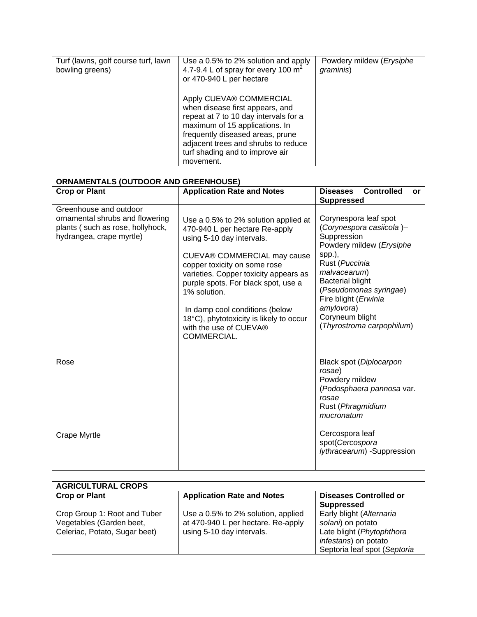| Turf (lawns, golf course turf, lawn<br>bowling greens) | Use a 0.5% to 2% solution and apply<br>4.7-9.4 L of spray for every 100 $m^2$<br>or 470-940 L per hectare                                                                                                                                                        | Powdery mildew (Erysiphe<br>graminis) |
|--------------------------------------------------------|------------------------------------------------------------------------------------------------------------------------------------------------------------------------------------------------------------------------------------------------------------------|---------------------------------------|
|                                                        | Apply CUEVA® COMMERCIAL<br>when disease first appears, and<br>repeat at 7 to 10 day intervals for a<br>maximum of 15 applications. In<br>frequently diseased areas, prune<br>adjacent trees and shrubs to reduce<br>turf shading and to improve air<br>movement. |                                       |

| <b>ORNAMENTALS (OUTDOOR AND GREENHOUSE)</b>                                                                               |                                                                                                                                                                                                                                                                                                                                                                                          |                                                                                                                                                                                                                                                                                     |  |  |
|---------------------------------------------------------------------------------------------------------------------------|------------------------------------------------------------------------------------------------------------------------------------------------------------------------------------------------------------------------------------------------------------------------------------------------------------------------------------------------------------------------------------------|-------------------------------------------------------------------------------------------------------------------------------------------------------------------------------------------------------------------------------------------------------------------------------------|--|--|
| <b>Crop or Plant</b>                                                                                                      | <b>Application Rate and Notes</b>                                                                                                                                                                                                                                                                                                                                                        | <b>Controlled</b><br><b>Diseases</b><br>or<br><b>Suppressed</b>                                                                                                                                                                                                                     |  |  |
| Greenhouse and outdoor<br>ornamental shrubs and flowering<br>plants (such as rose, hollyhock,<br>hydrangea, crape myrtle) | Use a 0.5% to 2% solution applied at<br>470-940 L per hectare Re-apply<br>using 5-10 day intervals.<br>CUEVA® COMMERCIAL may cause<br>copper toxicity on some rose<br>varieties. Copper toxicity appears as<br>purple spots. For black spot, use a<br>1% solution.<br>In damp cool conditions (below<br>18°C), phytotoxicity is likely to occur<br>with the use of CUEVA®<br>COMMERCIAL. | Corynespora leaf spot<br>(Corynespora casiicola)-<br>Suppression<br>Powdery mildew (Erysiphe<br>spp.),<br>Rust (Puccinia<br>malvacearum)<br><b>Bacterial blight</b><br>(Pseudomonas syringae)<br>Fire blight (Erwinia<br>amylovora)<br>Coryneum blight<br>(Thyrostroma carpophilum) |  |  |
| Rose                                                                                                                      |                                                                                                                                                                                                                                                                                                                                                                                          | Black spot (Diplocarpon<br>rosae)<br>Powdery mildew<br>(Podosphaera pannosa var.<br>rosae<br>Rust (Phragmidium<br>mucronatum                                                                                                                                                        |  |  |
| Crape Myrtle                                                                                                              |                                                                                                                                                                                                                                                                                                                                                                                          | Cercospora leaf<br>spot(Cercospora<br>lythracearum) -Suppression                                                                                                                                                                                                                    |  |  |

| <b>AGRICULTURAL CROPS</b>                                                                 |                                                                                                       |                                                                                                                                    |  |  |  |
|-------------------------------------------------------------------------------------------|-------------------------------------------------------------------------------------------------------|------------------------------------------------------------------------------------------------------------------------------------|--|--|--|
| <b>Crop or Plant</b>                                                                      | <b>Application Rate and Notes</b>                                                                     | <b>Diseases Controlled or</b><br><b>Suppressed</b>                                                                                 |  |  |  |
| Crop Group 1: Root and Tuber<br>Vegetables (Garden beet,<br>Celeriac, Potato, Sugar beet) | Use a 0.5% to 2% solution, applied<br>at 470-940 L per hectare. Re-apply<br>using 5-10 day intervals. | Early blight (Alternaria<br>solani) on potato<br>Late blight (Phytophthora<br>infestans) on potato<br>Septoria leaf spot (Septoria |  |  |  |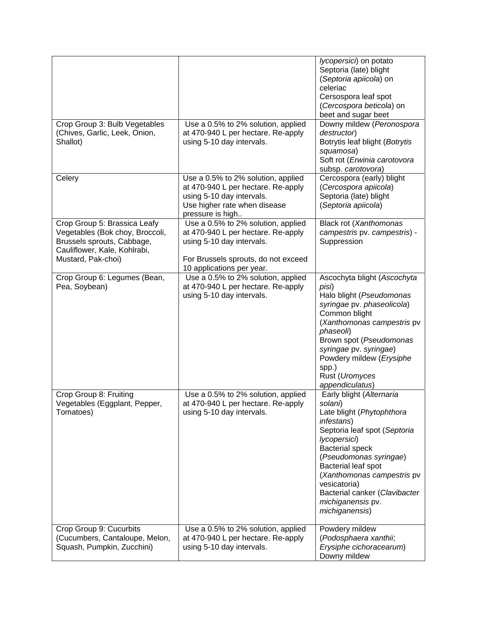|                                                                                                                                                     |                                                                                                                                                                           | lycopersici) on potato<br>Septoria (late) blight<br>(Septoria apiicola) on<br>celeriac<br>Cersospora leaf spot<br>(Cercospora beticola) on<br>beet and sugar beet                                                                                                                                                               |
|-----------------------------------------------------------------------------------------------------------------------------------------------------|---------------------------------------------------------------------------------------------------------------------------------------------------------------------------|---------------------------------------------------------------------------------------------------------------------------------------------------------------------------------------------------------------------------------------------------------------------------------------------------------------------------------|
| Crop Group 3: Bulb Vegetables<br>(Chives, Garlic, Leek, Onion,<br>Shallot)                                                                          | Use a 0.5% to 2% solution, applied<br>at 470-940 L per hectare. Re-apply<br>using 5-10 day intervals.                                                                     | Downy mildew (Peronospora<br>destructor)<br>Botrytis leaf blight (Botrytis<br>squamosa)<br>Soft rot (Erwinia carotovora<br>subsp. carotovora)                                                                                                                                                                                   |
| Celery                                                                                                                                              | Use a 0.5% to 2% solution, applied<br>at 470-940 L per hectare. Re-apply<br>using 5-10 day intervals.<br>Use higher rate when disease<br>pressure is high                 | Cercospora (early) blight<br>(Cercospora apiicola)<br>Septoria (late) blight<br>(Septoria apiicola)                                                                                                                                                                                                                             |
| Crop Group 5: Brassica Leafy<br>Vegetables (Bok choy, Broccoli,<br>Brussels sprouts, Cabbage,<br>Cauliflower, Kale, Kohlrabi,<br>Mustard, Pak-choi) | Use a 0.5% to 2% solution, applied<br>at 470-940 L per hectare. Re-apply<br>using 5-10 day intervals.<br>For Brussels sprouts, do not exceed<br>10 applications per year. | Black rot (Xanthomonas<br>campestris pv. campestris) -<br>Suppression                                                                                                                                                                                                                                                           |
| Crop Group 6: Legumes (Bean,<br>Pea, Soybean)                                                                                                       | Use a 0.5% to 2% solution, applied<br>at 470-940 L per hectare. Re-apply<br>using 5-10 day intervals.                                                                     | Ascochyta blight (Ascochyta<br>pisi)<br>Halo blight (Pseudomonas<br>syringae pv. phaseolicola)<br>Common blight<br>(Xanthomonas campestris pv<br>phaseoli)<br>Brown spot (Pseudomonas<br>syringae pv. syringae)<br>Powdery mildew (Erysiphe<br>spp.)<br>Rust (Uromyces<br>appendiculatus)                                       |
| Crop Group 8: Fruiting<br>Vegetables (Eggplant, Pepper,<br>Tomatoes)                                                                                | Use a 0.5% to 2% solution, applied<br>at 470-940 L per hectare. Re-apply<br>using 5-10 day intervals.                                                                     | Early blight (Alternaria<br>solani)<br>Late blight (Phytophthora<br>infestans)<br>Septoria leaf spot (Septoria<br>lycopersici)<br><b>Bacterial speck</b><br>(Pseudomonas syringae)<br>Bacterial leaf spot<br>(Xanthomonas campestris pv<br>vesicatoria)<br>Bacterial canker (Clavibacter<br>michiganensis pv.<br>michiganensis) |
| Crop Group 9: Cucurbits<br>(Cucumbers, Cantaloupe, Melon,<br>Squash, Pumpkin, Zucchini)                                                             | Use a 0.5% to 2% solution, applied<br>at 470-940 L per hectare. Re-apply<br>using 5-10 day intervals.                                                                     | Powdery mildew<br>(Podosphaera xanthii;<br>Erysiphe cichoracearum)<br>Downy mildew                                                                                                                                                                                                                                              |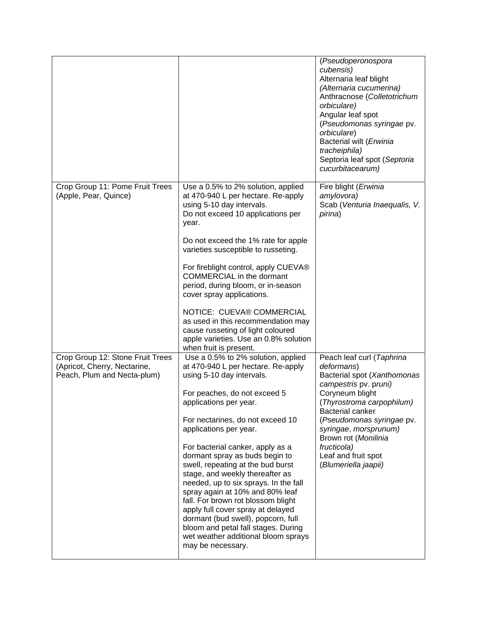|                                                                                                 |                                                                                                                                                                                                                                                                                                                                                                                                                                                                                                                                                                                                                                                                             | (Pseudoperonospora<br>cubensis)<br>Alternaria leaf blight<br>(Alternaria cucumerina)<br>Anthracnose (Colletotrichum<br>orbiculare)<br>Angular leaf spot<br>(Pseudomonas syringae pv.<br>orbiculare)<br>Bacterial wilt (Erwinia<br>tracheiphila)<br>Septoria leaf spot (Septoria<br>cucurbitacearum)                    |
|-------------------------------------------------------------------------------------------------|-----------------------------------------------------------------------------------------------------------------------------------------------------------------------------------------------------------------------------------------------------------------------------------------------------------------------------------------------------------------------------------------------------------------------------------------------------------------------------------------------------------------------------------------------------------------------------------------------------------------------------------------------------------------------------|------------------------------------------------------------------------------------------------------------------------------------------------------------------------------------------------------------------------------------------------------------------------------------------------------------------------|
| Crop Group 11: Pome Fruit Trees<br>(Apple, Pear, Quince)                                        | Use a 0.5% to 2% solution, applied<br>at 470-940 L per hectare. Re-apply<br>using 5-10 day intervals.<br>Do not exceed 10 applications per<br>year.<br>Do not exceed the 1% rate for apple<br>varieties susceptible to russeting.<br>For fireblight control, apply CUEVA®<br><b>COMMERCIAL</b> in the dormant<br>period, during bloom, or in-season<br>cover spray applications.<br>NOTICE: CUEVA® COMMERCIAL<br>as used in this recommendation may<br>cause russeting of light coloured<br>apple varieties. Use an 0.8% solution<br>when fruit is present.                                                                                                                 | Fire blight (Erwinia<br>amylovora)<br>Scab (Venturia Inaequalis, V.<br>pirina)                                                                                                                                                                                                                                         |
| Crop Group 12: Stone Fruit Trees<br>(Apricot, Cherry, Nectarine,<br>Peach, Plum and Necta-plum) | Use a 0.5% to 2% solution, applied<br>at 470-940 L per hectare. Re-apply<br>using 5-10 day intervals.<br>For peaches, do not exceed 5<br>applications per year.<br>For nectarines, do not exceed 10<br>applications per year.<br>For bacterial canker, apply as a<br>dormant spray as buds begin to<br>swell, repeating at the bud burst<br>stage, and weekly thereafter as<br>needed, up to six sprays. In the fall<br>spray again at 10% and 80% leaf<br>fall. For brown rot blossom blight<br>apply full cover spray at delayed<br>dormant (bud swell), popcorn, full<br>bloom and petal fall stages. During<br>wet weather additional bloom sprays<br>may be necessary. | Peach leaf curl (Taphrina<br>deformans)<br>Bacterial spot (Xanthomonas<br>campestris pv. pruni)<br>Coryneum blight<br>(Thyrostroma carpophilum)<br><b>Bacterial canker</b><br>(Pseudomonas syringae pv.<br>syringae, morsprunum)<br>Brown rot (Monilinia<br>fructicola)<br>Leaf and fruit spot<br>(Blumeriella jaapii) |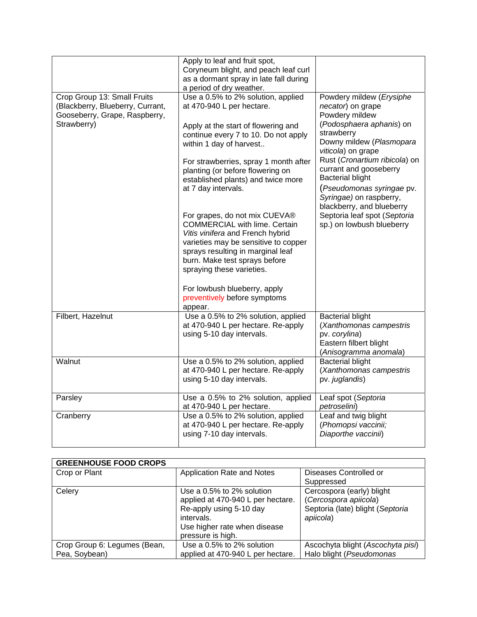|                                                                                                                 | Apply to leaf and fruit spot,<br>Coryneum blight, and peach leaf curl<br>as a dormant spray in late fall during<br>a period of dry weather.                                                                                                                                                                                                                                                                                                                                                                                                                                                                                                            |                                                                                                                                                                                                                                                                                                                                                                                                     |
|-----------------------------------------------------------------------------------------------------------------|--------------------------------------------------------------------------------------------------------------------------------------------------------------------------------------------------------------------------------------------------------------------------------------------------------------------------------------------------------------------------------------------------------------------------------------------------------------------------------------------------------------------------------------------------------------------------------------------------------------------------------------------------------|-----------------------------------------------------------------------------------------------------------------------------------------------------------------------------------------------------------------------------------------------------------------------------------------------------------------------------------------------------------------------------------------------------|
| Crop Group 13: Small Fruits<br>(Blackberry, Blueberry, Currant,<br>Gooseberry, Grape, Raspberry,<br>Strawberry) | Use a 0.5% to 2% solution, applied<br>at 470-940 L per hectare.<br>Apply at the start of flowering and<br>continue every 7 to 10. Do not apply<br>within 1 day of harvest<br>For strawberries, spray 1 month after<br>planting (or before flowering on<br>established plants) and twice more<br>at 7 day intervals.<br>For grapes, do not mix CUEVA®<br><b>COMMERCIAL with lime. Certain</b><br>Vitis vinifera and French hybrid<br>varieties may be sensitive to copper<br>sprays resulting in marginal leaf<br>burn. Make test sprays before<br>spraying these varieties.<br>For lowbush blueberry, apply<br>preventively before symptoms<br>appear. | Powdery mildew (Erysiphe<br>necator) on grape<br>Powdery mildew<br>(Podosphaera aphanis) on<br>strawberry<br>Downy mildew (Plasmopara<br>viticola) on grape<br>Rust (Cronartium ribicola) on<br>currant and gooseberry<br><b>Bacterial blight</b><br>(Pseudomonas syringae pv.<br>Syringae) on raspberry,<br>blackberry, and blueberry<br>Septoria leaf spot (Septoria<br>sp.) on lowbush blueberry |
| Filbert, Hazelnut                                                                                               | Use a 0.5% to 2% solution, applied<br>at 470-940 L per hectare. Re-apply<br>using 5-10 day intervals.                                                                                                                                                                                                                                                                                                                                                                                                                                                                                                                                                  | <b>Bacterial blight</b><br>(Xanthomonas campestris<br>pv. corylina)<br>Eastern filbert blight<br>(Anisogramma anomala)                                                                                                                                                                                                                                                                              |
| Walnut                                                                                                          | Use a 0.5% to 2% solution, applied<br>at 470-940 L per hectare. Re-apply<br>using 5-10 day intervals.                                                                                                                                                                                                                                                                                                                                                                                                                                                                                                                                                  | <b>Bacterial blight</b><br>(Xanthomonas campestris<br>pv. juglandis)                                                                                                                                                                                                                                                                                                                                |
| Parsley                                                                                                         | Use a 0.5% to 2% solution, applied<br>at 470-940 L per hectare.                                                                                                                                                                                                                                                                                                                                                                                                                                                                                                                                                                                        | Leaf spot (Septoria<br>petroselini)                                                                                                                                                                                                                                                                                                                                                                 |
| Cranberry                                                                                                       | Use a 0.5% to 2% solution, applied<br>at 470-940 L per hectare. Re-apply<br>using 7-10 day intervals.                                                                                                                                                                                                                                                                                                                                                                                                                                                                                                                                                  | Leaf and twig blight<br>(Phomopsi vaccinii;<br>Diaporthe vaccinii)                                                                                                                                                                                                                                                                                                                                  |

| <b>GREENHOUSE FOOD CROPS</b> |                                   |                                   |
|------------------------------|-----------------------------------|-----------------------------------|
| Crop or Plant                | Application Rate and Notes        | Diseases Controlled or            |
|                              |                                   | Suppressed                        |
| Celery                       | Use a 0.5% to 2% solution         | Cercospora (early) blight         |
|                              | applied at 470-940 L per hectare. | (Cercospora apiicola)             |
|                              | Re-apply using 5-10 day           | Septoria (late) blight (Septoria  |
|                              | intervals.                        | apiicola)                         |
|                              | Use higher rate when disease      |                                   |
|                              | pressure is high.                 |                                   |
| Crop Group 6: Legumes (Bean, | Use a 0.5% to 2% solution         | Ascochyta blight (Ascochyta pisi) |
| Pea, Soybean)                | applied at 470-940 L per hectare. | Halo blight (Pseudomonas          |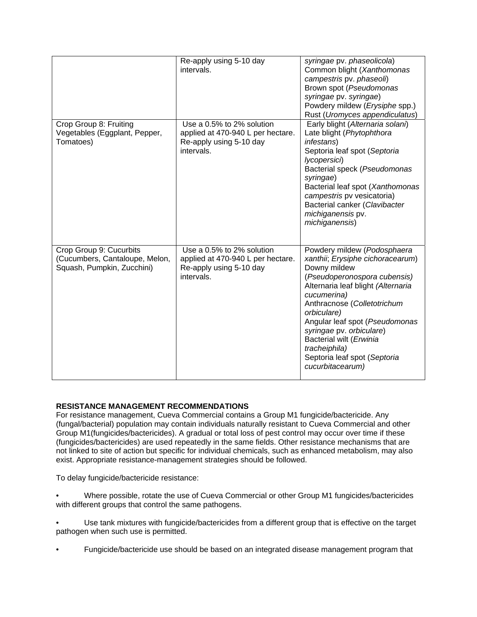|                                                                                         | Re-apply using 5-10 day<br>intervals.                                                                   | syringae pv. phaseolicola)<br>Common blight (Xanthomonas<br>campestris pv. phaseoli)<br>Brown spot (Pseudomonas<br>syringae pv. syringae)<br>Powdery mildew (Erysiphe spp.)<br>Rust (Uromyces appendiculatus)                                                                                                                                                                    |
|-----------------------------------------------------------------------------------------|---------------------------------------------------------------------------------------------------------|----------------------------------------------------------------------------------------------------------------------------------------------------------------------------------------------------------------------------------------------------------------------------------------------------------------------------------------------------------------------------------|
| Crop Group 8: Fruiting<br>Vegetables (Eggplant, Pepper,<br>Tomatoes)                    | Use a 0.5% to 2% solution<br>applied at 470-940 L per hectare.<br>Re-apply using 5-10 day<br>intervals. | Early blight (Alternaria solani)<br>Late blight (Phytophthora<br><i>infestans</i> )<br>Septoria leaf spot (Septoria<br>lycopersici)<br>Bacterial speck (Pseudomonas<br>syringae)<br>Bacterial leaf spot (Xanthomonas<br>campestris pv vesicatoria)<br>Bacterial canker (Clavibacter<br>michiganensis pv.<br>michiganensis)                                                       |
| Crop Group 9: Cucurbits<br>(Cucumbers, Cantaloupe, Melon,<br>Squash, Pumpkin, Zucchini) | Use a 0.5% to 2% solution<br>applied at 470-940 L per hectare.<br>Re-apply using 5-10 day<br>intervals. | Powdery mildew (Podosphaera<br>xanthii; Erysiphe cichoracearum)<br>Downy mildew<br>(Pseudoperonospora cubensis)<br>Alternaria leaf blight (Alternaria<br>cucumerina)<br>Anthracnose (Colletotrichum<br>orbiculare)<br>Angular leaf spot (Pseudomonas<br>syringae pv. orbiculare)<br>Bacterial wilt (Erwinia<br>tracheiphila)<br>Septoria leaf spot (Septoria<br>cucurbitacearum) |

# **RESISTANCE MANAGEMENT RECOMMENDATIONS**

For resistance management, Cueva Commercial contains a Group M1 fungicide/bactericide. Any (fungal/bacterial) population may contain individuals naturally resistant to Cueva Commercial and other Group M1(fungicides/bactericides). A gradual or total loss of pest control may occur over time if these (fungicides/bactericides) are used repeatedly in the same fields. Other resistance mechanisms that are not linked to site of action but specific for individual chemicals, such as enhanced metabolism, may also exist. Appropriate resistance-management strategies should be followed.

To delay fungicide/bactericide resistance:

- Where possible, rotate the use of Cueva Commercial or other Group M1 fungicides/bactericides with different groups that control the same pathogens.
- Use tank mixtures with fungicide/bactericides from a different group that is effective on the target pathogen when such use is permitted.
- Fungicide/bactericide use should be based on an integrated disease management program that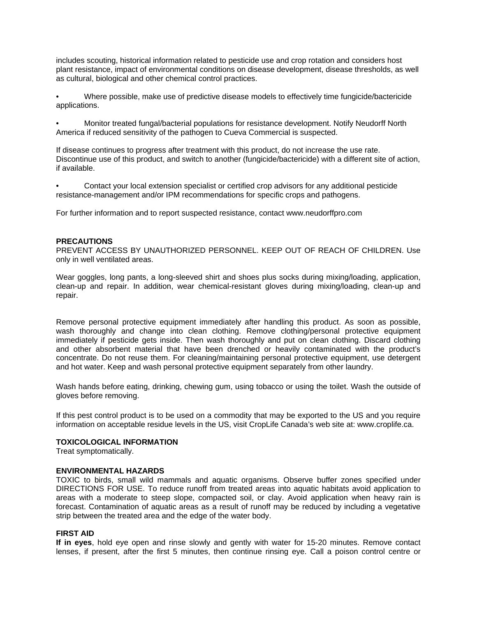includes scouting, historical information related to pesticide use and crop rotation and considers host plant resistance, impact of environmental conditions on disease development, disease thresholds, as well as cultural, biological and other chemical control practices.

• Where possible, make use of predictive disease models to effectively time fungicide/bactericide applications.

• Monitor treated fungal/bacterial populations for resistance development. Notify Neudorff North America if reduced sensitivity of the pathogen to Cueva Commercial is suspected.

If disease continues to progress after treatment with this product, do not increase the use rate. Discontinue use of this product, and switch to another (fungicide/bactericide) with a different site of action, if available.

• Contact your local extension specialist or certified crop advisors for any additional pesticide resistance-management and/or IPM recommendations for specific crops and pathogens.

For further information and to report suspected resistance, contact www.neudorffpro.com

# **PRECAUTIONS**

PREVENT ACCESS BY UNAUTHORIZED PERSONNEL. KEEP OUT OF REACH OF CHILDREN. Use only in well ventilated areas.

Wear goggles, long pants, a long-sleeved shirt and shoes plus socks during mixing/loading, application, clean-up and repair. In addition, wear chemical-resistant gloves during mixing/loading, clean-up and repair.

Remove personal protective equipment immediately after handling this product. As soon as possible, wash thoroughly and change into clean clothing. Remove clothing/personal protective equipment immediately if pesticide gets inside. Then wash thoroughly and put on clean clothing. Discard clothing and other absorbent material that have been drenched or heavily contaminated with the product's concentrate. Do not reuse them. For cleaning/maintaining personal protective equipment, use detergent and hot water. Keep and wash personal protective equipment separately from other laundry.

Wash hands before eating, drinking, chewing gum, using tobacco or using the toilet. Wash the outside of gloves before removing.

If this pest control product is to be used on a commodity that may be exported to the US and you require information on acceptable residue levels in the US, visit CropLife Canada's web site at: www.croplife.ca.

## **TOXICOLOGICAL INFORMATION**

Treat symptomatically.

### **ENVIRONMENTAL HAZARDS**

TOXIC to birds, small wild mammals and aquatic organisms. Observe buffer zones specified under DIRECTIONS FOR USE. To reduce runoff from treated areas into aquatic habitats avoid application to areas with a moderate to steep slope, compacted soil, or clay. Avoid application when heavy rain is forecast. Contamination of aquatic areas as a result of runoff may be reduced by including a vegetative strip between the treated area and the edge of the water body.

# **FIRST AID**

**If in eyes**, hold eye open and rinse slowly and gently with water for 15-20 minutes. Remove contact lenses, if present, after the first 5 minutes, then continue rinsing eye. Call a poison control centre or